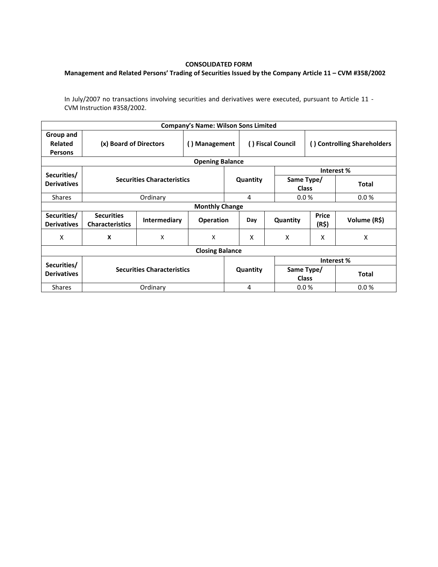## **CONSOLIDATED FORM**

## **Management and Related Persons' Trading of Securities Issued by the Company Article 11 – CVM #358/2002**

In July/2007 no transactions involving securities and derivatives were executed, pursuant to Article 11 - CVM Instruction #358/2002.

|                                               |                                             |                                   | <b>Company's Name: Wilson Sons Limited</b> |          |     |                            |                             |              |  |  |  |
|-----------------------------------------------|---------------------------------------------|-----------------------------------|--------------------------------------------|----------|-----|----------------------------|-----------------------------|--------------|--|--|--|
| Group and<br><b>Related</b><br><b>Persons</b> | (x) Board of Directors                      |                                   | Management<br>$\left( \right)$             |          |     | () Fiscal Council          | () Controlling Shareholders |              |  |  |  |
| <b>Opening Balance</b>                        |                                             |                                   |                                            |          |     |                            |                             |              |  |  |  |
| Securities/                                   |                                             |                                   |                                            |          |     | Interest %                 |                             |              |  |  |  |
| <b>Derivatives</b>                            |                                             | <b>Securities Characteristics</b> |                                            | Quantity |     |                            | Same Type/<br><b>Class</b>  | <b>Total</b> |  |  |  |
| <b>Shares</b>                                 |                                             | Ordinary                          |                                            |          | 4   | 0.0%                       |                             | 0.0%         |  |  |  |
| <b>Monthly Change</b>                         |                                             |                                   |                                            |          |     |                            |                             |              |  |  |  |
| Securities/<br><b>Derivatives</b>             | <b>Securities</b><br><b>Characteristics</b> | <b>Intermediary</b>               | <b>Operation</b>                           |          | Day | Quantity                   | <b>Price</b><br>(R\$)       | Volume (R\$) |  |  |  |
| X                                             | X                                           | X                                 | X                                          |          | X   | X                          | X                           | X            |  |  |  |
| <b>Closing Balance</b>                        |                                             |                                   |                                            |          |     |                            |                             |              |  |  |  |
|                                               |                                             |                                   |                                            |          |     | Interest %                 |                             |              |  |  |  |
| Securities/<br><b>Derivatives</b>             | <b>Securities Characteristics</b>           |                                   |                                            | Quantity |     | Same Type/<br><b>Class</b> |                             | <b>Total</b> |  |  |  |
| <b>Shares</b>                                 |                                             | Ordinary                          |                                            |          | 4   | 0.0%                       |                             | 0.0%         |  |  |  |